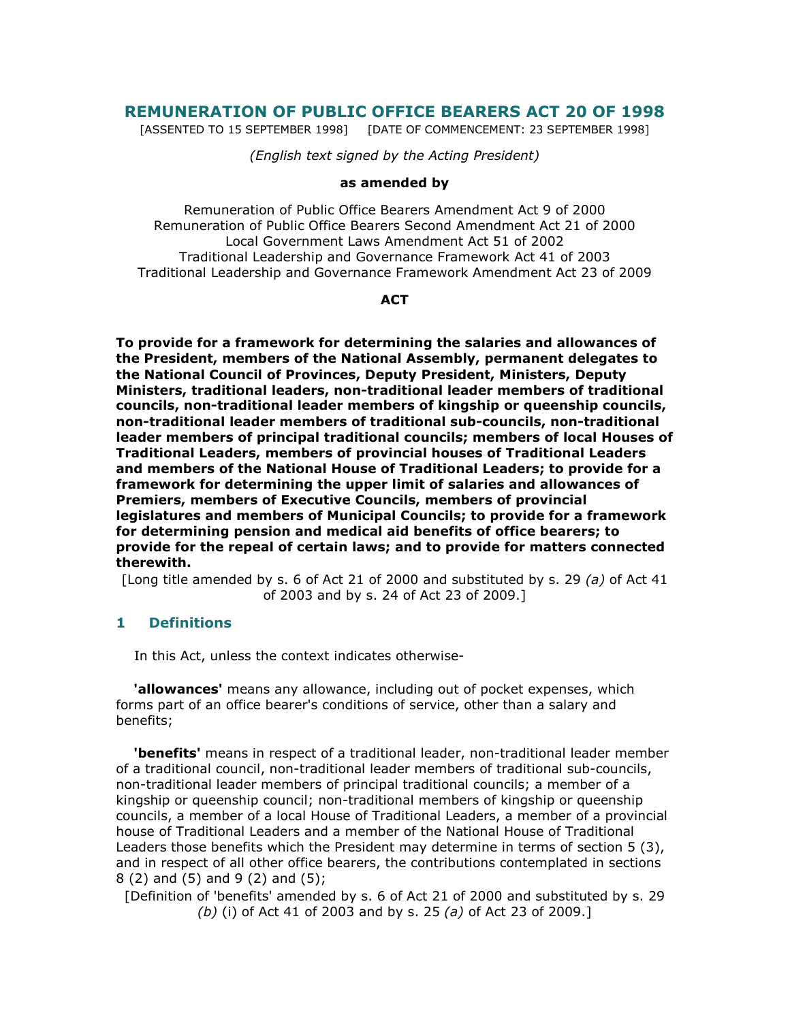# REMUNERATION OF PUBLIC OFFICE BEARERS ACT 20 OF 1998

[ASSENTED TO 15 SEPTEMBER 1998] [DATE OF COMMENCEMENT: 23 SEPTEMBER 1998]

(English text signed by the Acting President)

#### as amended by

Remuneration of Public Office Bearers Amendment Act 9 of 2000 Remuneration of Public Office Bearers Second Amendment Act 21 of 2000 Local Government Laws Amendment Act 51 of 2002 Traditional Leadership and Governance Framework Act 41 of 2003 Traditional Leadership and Governance Framework Amendment Act 23 of 2009

### **ACT**

To provide for a framework for determining the salaries and allowances of the President, members of the National Assembly, permanent delegates to the National Council of Provinces, Deputy President, Ministers, Deputy Ministers, traditional leaders, non-traditional leader members of traditional councils, non-traditional leader members of kingship or queenship councils, non-traditional leader members of traditional sub-councils, non-traditional leader members of principal traditional councils; members of local Houses of Traditional Leaders, members of provincial houses of Traditional Leaders and members of the National House of Traditional Leaders; to provide for a framework for determining the upper limit of salaries and allowances of Premiers, members of Executive Councils, members of provincial legislatures and members of Municipal Councils; to provide for a framework for determining pension and medical aid benefits of office bearers; to provide for the repeal of certain laws; and to provide for matters connected therewith.

[Long title amended by s. 6 of Act 21 of 2000 and substituted by s. 29 (a) of Act 41 of 2003 and by s. 24 of Act 23 of 2009.]

# 1 Definitions

In this Act, unless the context indicates otherwise-

**'allowances'** means any allowance, including out of pocket expenses, which forms part of an office bearer's conditions of service, other than a salary and benefits;

**'benefits'** means in respect of a traditional leader, non-traditional leader member of a traditional council, non-traditional leader members of traditional sub-councils, non-traditional leader members of principal traditional councils; a member of a kingship or queenship council; non-traditional members of kingship or queenship councils, a member of a local House of Traditional Leaders, a member of a provincial house of Traditional Leaders and a member of the National House of Traditional Leaders those benefits which the President may determine in terms of section 5 (3), and in respect of all other office bearers, the contributions contemplated in sections 8 (2) and (5) and 9 (2) and (5);

[Definition of 'benefits' amended by s. 6 of Act 21 of 2000 and substituted by s. 29 (b) (i) of Act 41 of 2003 and by s. 25 (a) of Act 23 of 2009.]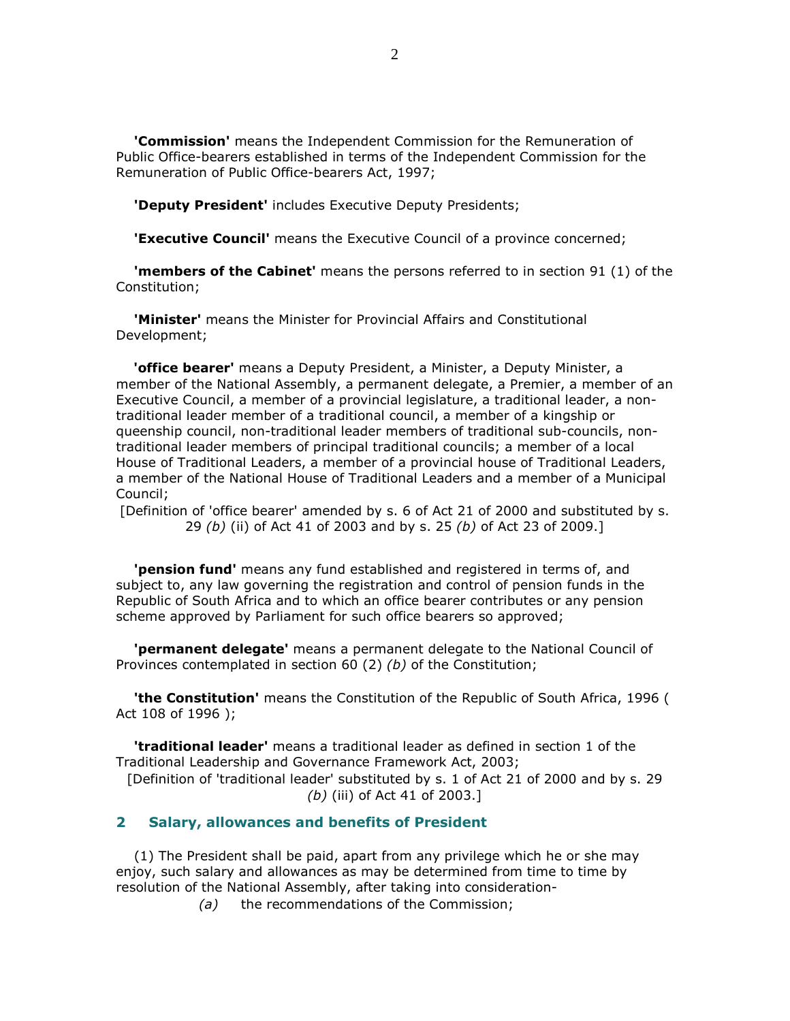'Commission' means the Independent Commission for the Remuneration of Public Office-bearers established in terms of the Independent Commission for the Remuneration of Public Office-bearers Act, 1997;

'Deputy President' includes Executive Deputy Presidents;

**'Executive Council'** means the Executive Council of a province concerned;

**'members of the Cabinet'** means the persons referred to in section 91 (1) of the Constitution;

**'Minister'** means the Minister for Provincial Affairs and Constitutional Development;

'office bearer' means a Deputy President, a Minister, a Deputy Minister, a member of the National Assembly, a permanent delegate, a Premier, a member of an Executive Council, a member of a provincial legislature, a traditional leader, a nontraditional leader member of a traditional council, a member of a kingship or queenship council, non-traditional leader members of traditional sub-councils, nontraditional leader members of principal traditional councils; a member of a local House of Traditional Leaders, a member of a provincial house of Traditional Leaders, a member of the National House of Traditional Leaders and a member of a Municipal Council;

[Definition of 'office bearer' amended by s. 6 of Act 21 of 2000 and substituted by s. 29 (b) (ii) of Act 41 of 2003 and by s. 25 (b) of Act 23 of 2009.]

 'pension fund' means any fund established and registered in terms of, and subject to, any law governing the registration and control of pension funds in the Republic of South Africa and to which an office bearer contributes or any pension scheme approved by Parliament for such office bearers so approved;

**'permanent delegate'** means a permanent delegate to the National Council of Provinces contemplated in section 60 (2) (b) of the Constitution;

**'the Constitution'** means the Constitution of the Republic of South Africa, 1996 ( Act 108 of 1996 );

 'traditional leader' means a traditional leader as defined in section 1 of the Traditional Leadership and Governance Framework Act, 2003;

[Definition of 'traditional leader' substituted by s. 1 of Act 21 of 2000 and by s. 29 (b) (iii) of Act 41 of 2003.]

# 2 Salary, allowances and benefits of President

 (1) The President shall be paid, apart from any privilege which he or she may enjoy, such salary and allowances as may be determined from time to time by resolution of the National Assembly, after taking into consideration-

(a) the recommendations of the Commission;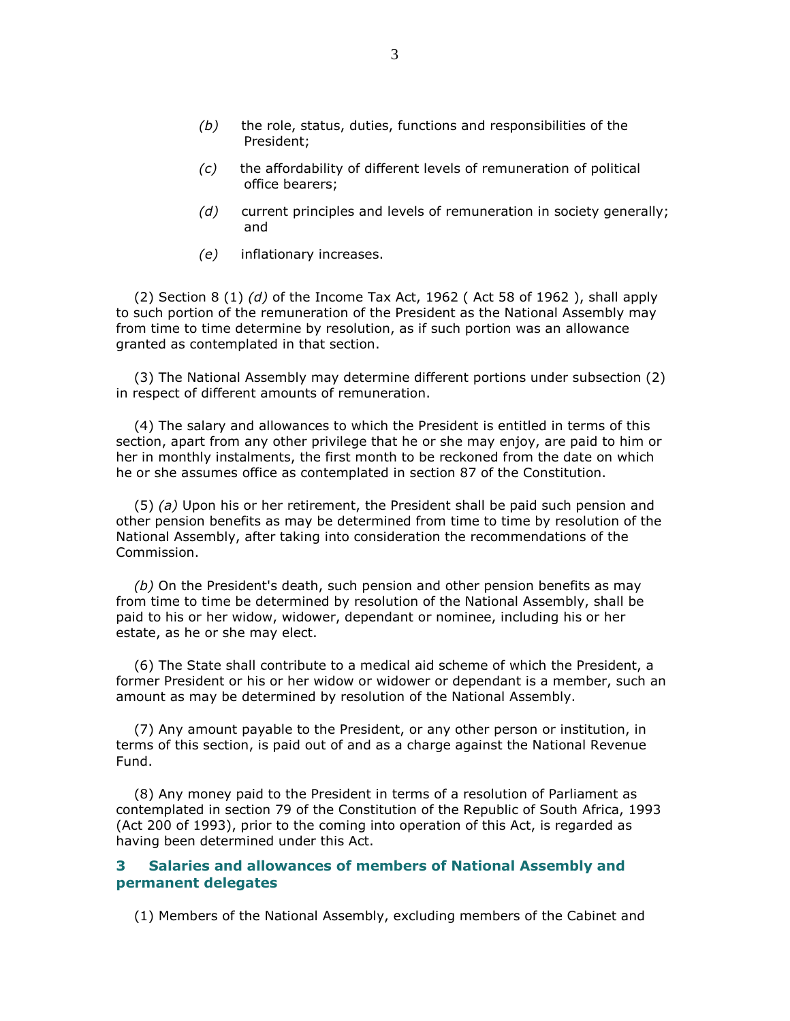- $(b)$  the role, status, duties, functions and responsibilities of the President;
- (c) the affordability of different levels of remuneration of political office bearers;
- (d) current principles and levels of remuneration in society generally; and
- (e) inflationary increases.

(2) Section 8 (1) (d) of the Income Tax Act, 1962 (Act 58 of 1962), shall apply to such portion of the remuneration of the President as the National Assembly may from time to time determine by resolution, as if such portion was an allowance granted as contemplated in that section.

 (3) The National Assembly may determine different portions under subsection (2) in respect of different amounts of remuneration.

 (4) The salary and allowances to which the President is entitled in terms of this section, apart from any other privilege that he or she may enjoy, are paid to him or her in monthly instalments, the first month to be reckoned from the date on which he or she assumes office as contemplated in section 87 of the Constitution.

(5) (a) Upon his or her retirement, the President shall be paid such pension and other pension benefits as may be determined from time to time by resolution of the National Assembly, after taking into consideration the recommendations of the Commission.

 $(b)$  On the President's death, such pension and other pension benefits as may from time to time be determined by resolution of the National Assembly, shall be paid to his or her widow, widower, dependant or nominee, including his or her estate, as he or she may elect.

 (6) The State shall contribute to a medical aid scheme of which the President, a former President or his or her widow or widower or dependant is a member, such an amount as may be determined by resolution of the National Assembly.

 (7) Any amount payable to the President, or any other person or institution, in terms of this section, is paid out of and as a charge against the National Revenue Fund.

 (8) Any money paid to the President in terms of a resolution of Parliament as contemplated in section 79 of the Constitution of the Republic of South Africa, 1993 (Act 200 of 1993), prior to the coming into operation of this Act, is regarded as having been determined under this Act.

## 3 Salaries and allowances of members of National Assembly and permanent delegates

(1) Members of the National Assembly, excluding members of the Cabinet and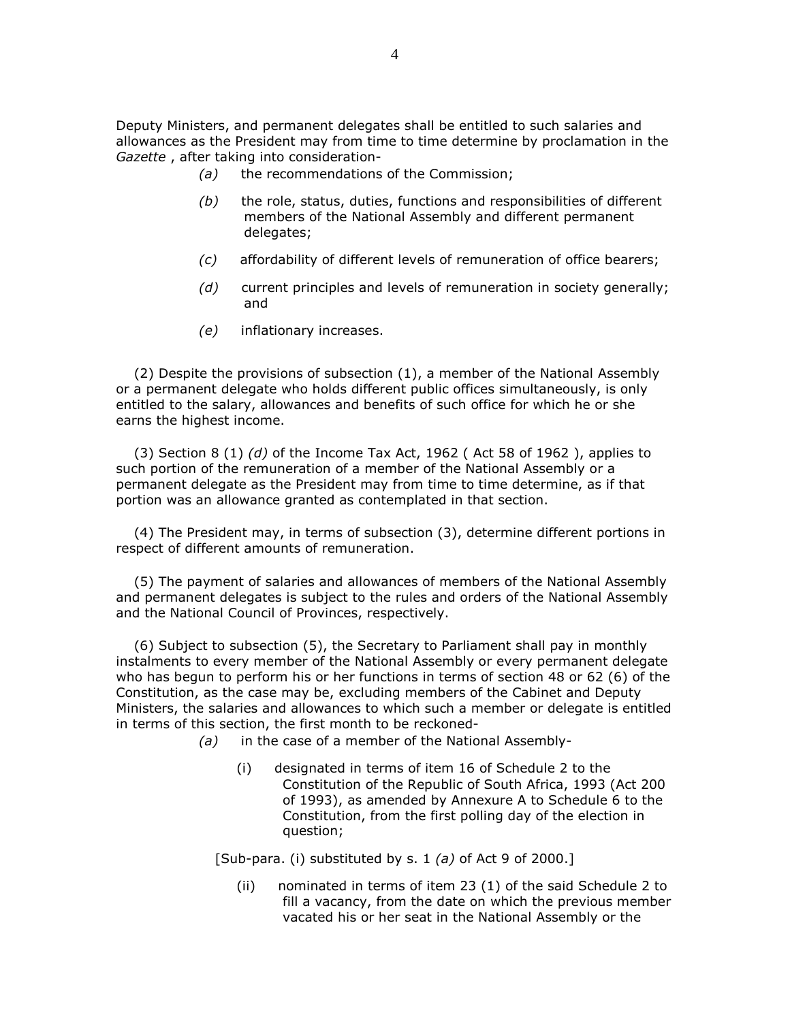Deputy Ministers, and permanent delegates shall be entitled to such salaries and allowances as the President may from time to time determine by proclamation in the Gazette , after taking into consideration-

- (a) the recommendations of the Commission;
- $(b)$  the role, status, duties, functions and responsibilities of different members of the National Assembly and different permanent delegates;
- (c) affordability of different levels of remuneration of office bearers;
- (d) current principles and levels of remuneration in society generally; and
- (e) inflationary increases.

 (2) Despite the provisions of subsection (1), a member of the National Assembly or a permanent delegate who holds different public offices simultaneously, is only entitled to the salary, allowances and benefits of such office for which he or she earns the highest income.

(3) Section 8 (1) (d) of the Income Tax Act, 1962 (Act 58 of 1962), applies to such portion of the remuneration of a member of the National Assembly or a permanent delegate as the President may from time to time determine, as if that portion was an allowance granted as contemplated in that section.

 (4) The President may, in terms of subsection (3), determine different portions in respect of different amounts of remuneration.

 (5) The payment of salaries and allowances of members of the National Assembly and permanent delegates is subject to the rules and orders of the National Assembly and the National Council of Provinces, respectively.

 (6) Subject to subsection (5), the Secretary to Parliament shall pay in monthly instalments to every member of the National Assembly or every permanent delegate who has begun to perform his or her functions in terms of section 48 or 62 (6) of the Constitution, as the case may be, excluding members of the Cabinet and Deputy Ministers, the salaries and allowances to which such a member or delegate is entitled in terms of this section, the first month to be reckoned-

- (a) in the case of a member of the National Assembly-
	- (i) designated in terms of item 16 of Schedule 2 to the Constitution of the Republic of South Africa, 1993 (Act 200 of 1993), as amended by Annexure A to Schedule 6 to the Constitution, from the first polling day of the election in question;

[Sub-para. (i) substituted by s. 1 (a) of Act 9 of 2000.]

 (ii) nominated in terms of item 23 (1) of the said Schedule 2 to fill a vacancy, from the date on which the previous member vacated his or her seat in the National Assembly or the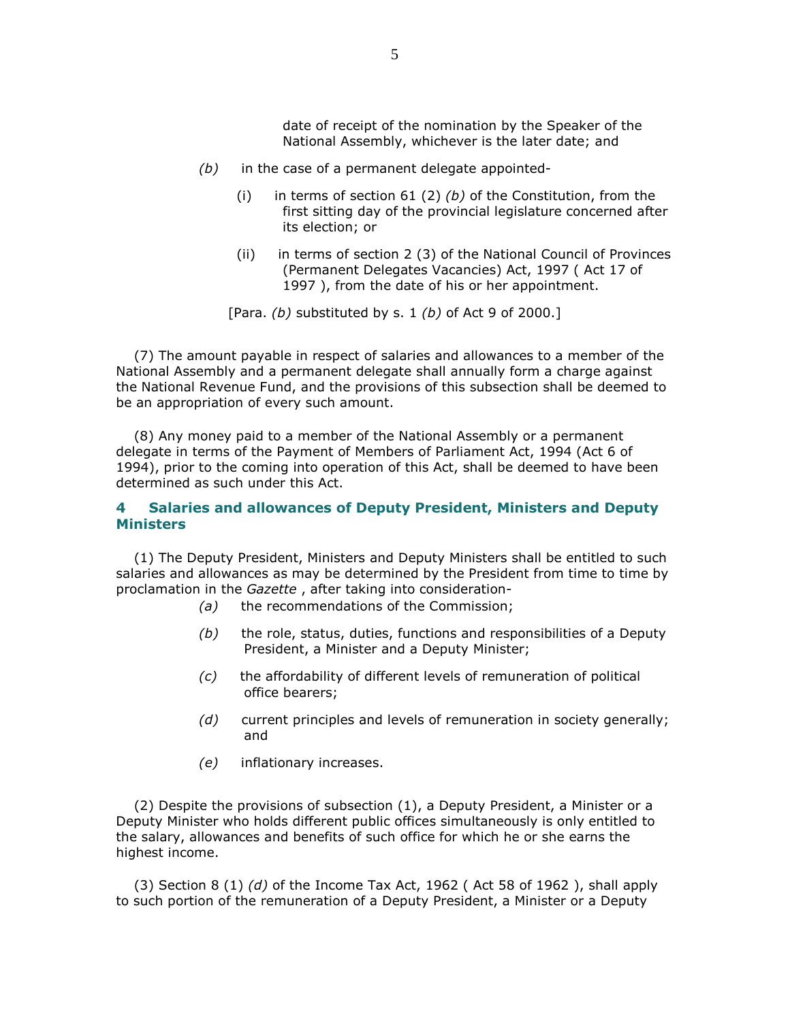date of receipt of the nomination by the Speaker of the National Assembly, whichever is the later date; and

- $(b)$  in the case of a permanent delegate appointed-
	- (i) in terms of section  $61$  (2) (b) of the Constitution, from the first sitting day of the provincial legislature concerned after its election; or
	- (ii) in terms of section 2 (3) of the National Council of Provinces (Permanent Delegates Vacancies) Act, 1997 ( Act 17 of 1997 ), from the date of his or her appointment.

[Para. (b) substituted by s. 1 (b) of Act 9 of 2000.]

 (7) The amount payable in respect of salaries and allowances to a member of the National Assembly and a permanent delegate shall annually form a charge against the National Revenue Fund, and the provisions of this subsection shall be deemed to be an appropriation of every such amount.

 (8) Any money paid to a member of the National Assembly or a permanent delegate in terms of the Payment of Members of Parliament Act, 1994 (Act 6 of 1994), prior to the coming into operation of this Act, shall be deemed to have been determined as such under this Act.

#### 4 Salaries and allowances of Deputy President, Ministers and Deputy **Ministers**

 (1) The Deputy President, Ministers and Deputy Ministers shall be entitled to such salaries and allowances as may be determined by the President from time to time by proclamation in the Gazette , after taking into consideration-

- (a) the recommendations of the Commission;
- $(b)$  the role, status, duties, functions and responsibilities of a Deputy President, a Minister and a Deputy Minister;
- (c) the affordability of different levels of remuneration of political office bearers;
- (d) current principles and levels of remuneration in society generally; and
- (e) inflationary increases.

 (2) Despite the provisions of subsection (1), a Deputy President, a Minister or a Deputy Minister who holds different public offices simultaneously is only entitled to the salary, allowances and benefits of such office for which he or she earns the highest income.

(3) Section 8 (1)  $(d)$  of the Income Tax Act, 1962 (Act 58 of 1962), shall apply to such portion of the remuneration of a Deputy President, a Minister or a Deputy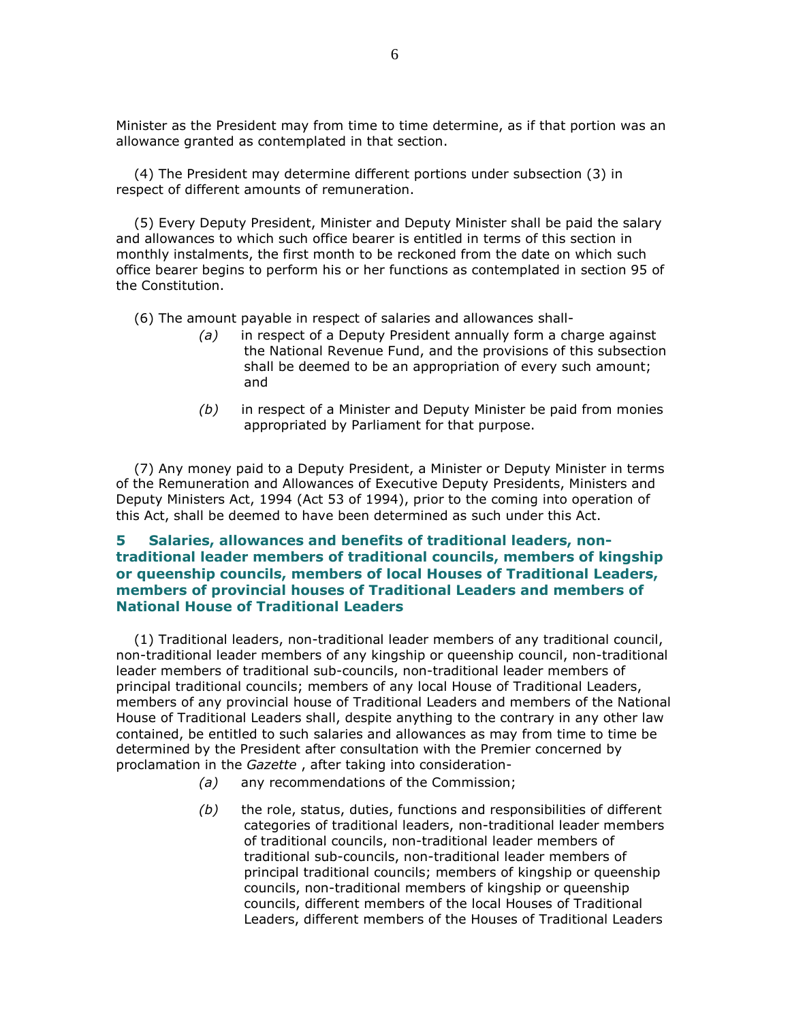Minister as the President may from time to time determine, as if that portion was an allowance granted as contemplated in that section.

 (4) The President may determine different portions under subsection (3) in respect of different amounts of remuneration.

 (5) Every Deputy President, Minister and Deputy Minister shall be paid the salary and allowances to which such office bearer is entitled in terms of this section in monthly instalments, the first month to be reckoned from the date on which such office bearer begins to perform his or her functions as contemplated in section 95 of the Constitution.

(6) The amount payable in respect of salaries and allowances shall-

- (a) in respect of a Deputy President annually form a charge against the National Revenue Fund, and the provisions of this subsection shall be deemed to be an appropriation of every such amount; and
- $(b)$  in respect of a Minister and Deputy Minister be paid from monies appropriated by Parliament for that purpose.

 (7) Any money paid to a Deputy President, a Minister or Deputy Minister in terms of the Remuneration and Allowances of Executive Deputy Presidents, Ministers and Deputy Ministers Act, 1994 (Act 53 of 1994), prior to the coming into operation of this Act, shall be deemed to have been determined as such under this Act.

# 5 Salaries, allowances and benefits of traditional leaders, nontraditional leader members of traditional councils, members of kingship or queenship councils, members of local Houses of Traditional Leaders, members of provincial houses of Traditional Leaders and members of National House of Traditional Leaders

 (1) Traditional leaders, non-traditional leader members of any traditional council, non-traditional leader members of any kingship or queenship council, non-traditional leader members of traditional sub-councils, non-traditional leader members of principal traditional councils; members of any local House of Traditional Leaders, members of any provincial house of Traditional Leaders and members of the National House of Traditional Leaders shall, despite anything to the contrary in any other law contained, be entitled to such salaries and allowances as may from time to time be determined by the President after consultation with the Premier concerned by proclamation in the Gazette , after taking into consideration-

- (a) any recommendations of the Commission;
- $(b)$  the role, status, duties, functions and responsibilities of different categories of traditional leaders, non-traditional leader members of traditional councils, non-traditional leader members of traditional sub-councils, non-traditional leader members of principal traditional councils; members of kingship or queenship councils, non-traditional members of kingship or queenship councils, different members of the local Houses of Traditional Leaders, different members of the Houses of Traditional Leaders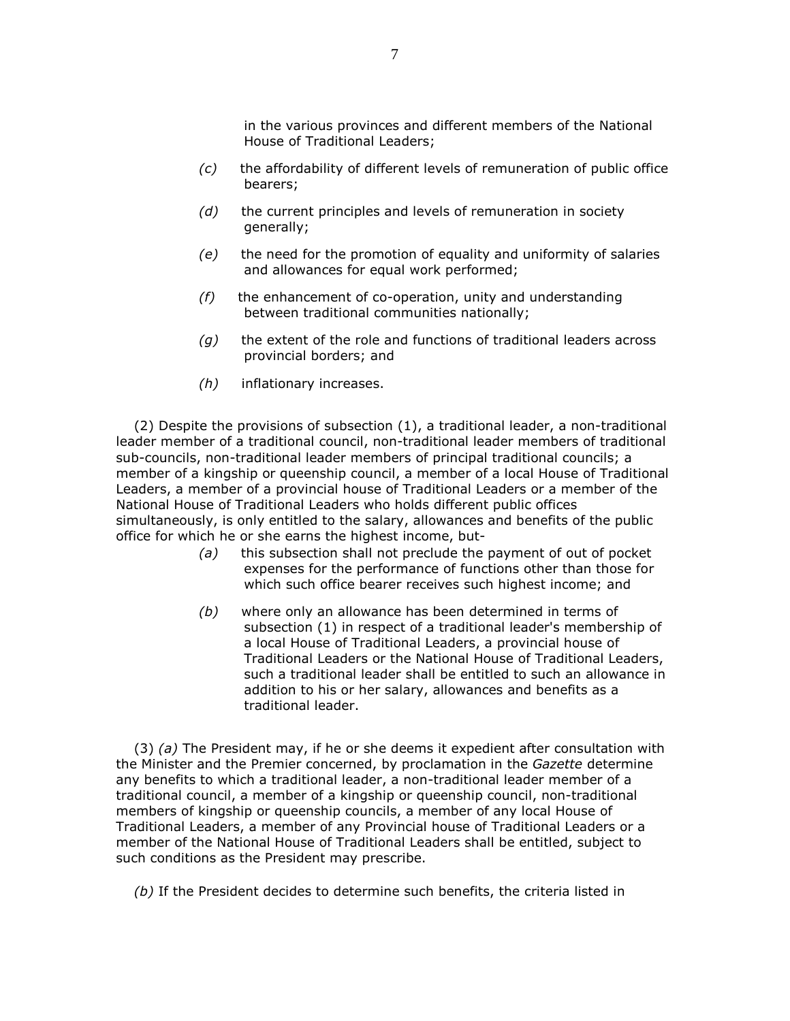in the various provinces and different members of the National House of Traditional Leaders;

- (c) the affordability of different levels of remuneration of public office bearers;
- $(d)$  the current principles and levels of remuneration in society generally;
- (e) the need for the promotion of equality and uniformity of salaries and allowances for equal work performed;
- $(f)$  the enhancement of co-operation, unity and understanding between traditional communities nationally;
- $(g)$  the extent of the role and functions of traditional leaders across provincial borders; and
- (h) inflationary increases.

 (2) Despite the provisions of subsection (1), a traditional leader, a non-traditional leader member of a traditional council, non-traditional leader members of traditional sub-councils, non-traditional leader members of principal traditional councils; a member of a kingship or queenship council, a member of a local House of Traditional Leaders, a member of a provincial house of Traditional Leaders or a member of the National House of Traditional Leaders who holds different public offices simultaneously, is only entitled to the salary, allowances and benefits of the public office for which he or she earns the highest income, but-

- (a) this subsection shall not preclude the payment of out of pocket expenses for the performance of functions other than those for which such office bearer receives such highest income; and
- (b) where only an allowance has been determined in terms of subsection (1) in respect of a traditional leader's membership of a local House of Traditional Leaders, a provincial house of Traditional Leaders or the National House of Traditional Leaders, such a traditional leader shall be entitled to such an allowance in addition to his or her salary, allowances and benefits as a traditional leader.

 $(3)$  (a) The President may, if he or she deems it expedient after consultation with the Minister and the Premier concerned, by proclamation in the Gazette determine any benefits to which a traditional leader, a non-traditional leader member of a traditional council, a member of a kingship or queenship council, non-traditional members of kingship or queenship councils, a member of any local House of Traditional Leaders, a member of any Provincial house of Traditional Leaders or a member of the National House of Traditional Leaders shall be entitled, subject to such conditions as the President may prescribe.

(b) If the President decides to determine such benefits, the criteria listed in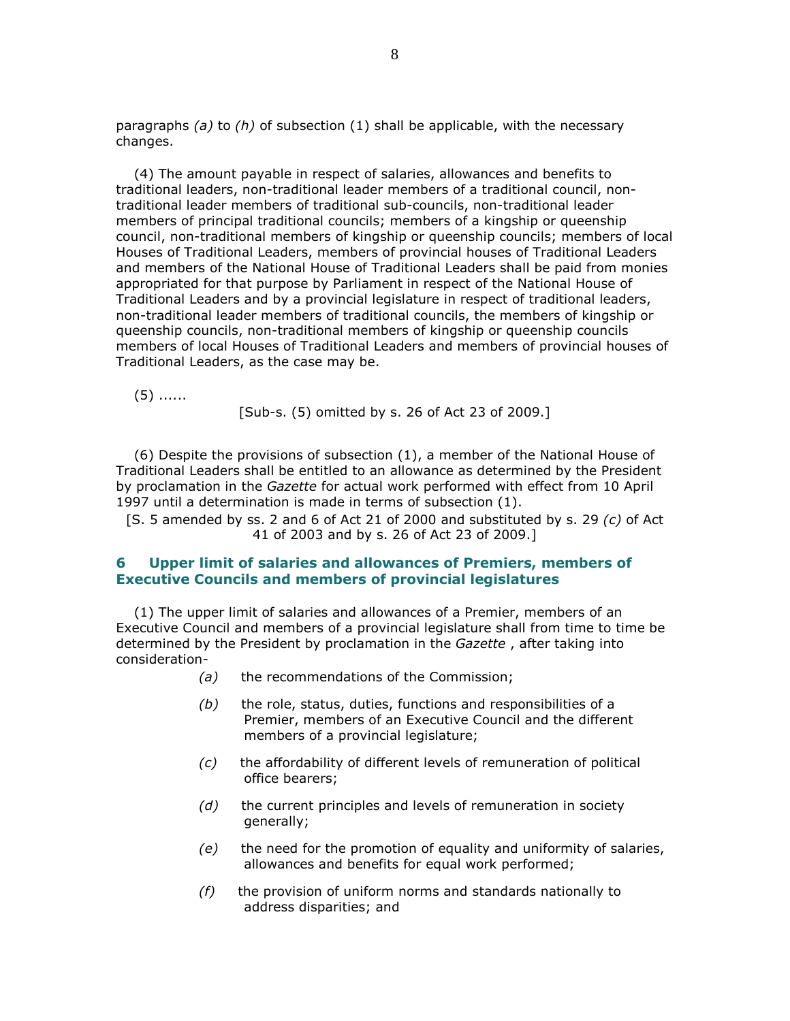paragraphs (a) to (h) of subsection (1) shall be applicable, with the necessary changes.

 (4) The amount payable in respect of salaries, allowances and benefits to traditional leaders, non-traditional leader members of a traditional council, nontraditional leader members of traditional sub-councils, non-traditional leader members of principal traditional councils; members of a kingship or queenship council, non-traditional members of kingship or queenship councils; members of local Houses of Traditional Leaders, members of provincial houses of Traditional Leaders and members of the National House of Traditional Leaders shall be paid from monies appropriated for that purpose by Parliament in respect of the National House of Traditional Leaders and by a provincial legislature in respect of traditional leaders, non-traditional leader members of traditional councils, the members of kingship or queenship councils, non-traditional members of kingship or queenship councils members of local Houses of Traditional Leaders and members of provincial houses of Traditional Leaders, as the case may be.

(5) ......

[Sub-s. (5) omitted by s. 26 of Act 23 of 2009.]

 (6) Despite the provisions of subsection (1), a member of the National House of Traditional Leaders shall be entitled to an allowance as determined by the President by proclamation in the Gazette for actual work performed with effect from 10 April 1997 until a determination is made in terms of subsection (1).

[S. 5 amended by ss. 2 and 6 of Act 21 of 2000 and substituted by s. 29  $(c)$  of Act 41 of 2003 and by s. 26 of Act 23 of 2009.]

### 6 Upper limit of salaries and allowances of Premiers, members of Executive Councils and members of provincial legislatures

 (1) The upper limit of salaries and allowances of a Premier, members of an Executive Council and members of a provincial legislature shall from time to time be determined by the President by proclamation in the Gazette, after taking into consideration-

- (a) the recommendations of the Commission;
- $(b)$  the role, status, duties, functions and responsibilities of a Premier, members of an Executive Council and the different members of a provincial legislature;
- (c) the affordability of different levels of remuneration of political office bearers;
- $(d)$  the current principles and levels of remuneration in society generally;
- (e) the need for the promotion of equality and uniformity of salaries, allowances and benefits for equal work performed;
- $(f)$  the provision of uniform norms and standards nationally to address disparities; and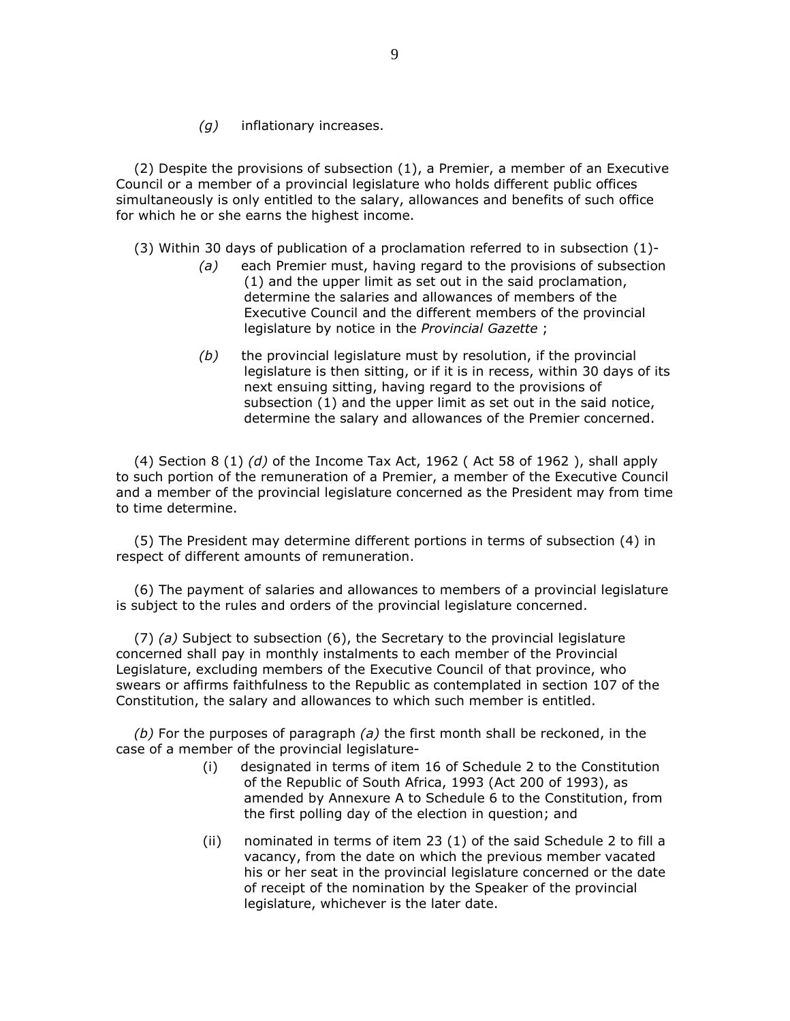(g) inflationary increases.

 (2) Despite the provisions of subsection (1), a Premier, a member of an Executive Council or a member of a provincial legislature who holds different public offices simultaneously is only entitled to the salary, allowances and benefits of such office for which he or she earns the highest income.

- (3) Within 30 days of publication of a proclamation referred to in subsection (1)-
	- (a) each Premier must, having regard to the provisions of subsection (1) and the upper limit as set out in the said proclamation, determine the salaries and allowances of members of the Executive Council and the different members of the provincial legislature by notice in the Provincial Gazette ;
	- $(b)$  the provincial legislature must by resolution, if the provincial legislature is then sitting, or if it is in recess, within 30 days of its next ensuing sitting, having regard to the provisions of subsection (1) and the upper limit as set out in the said notice, determine the salary and allowances of the Premier concerned.

(4) Section 8 (1)  $(d)$  of the Income Tax Act, 1962 (Act 58 of 1962), shall apply to such portion of the remuneration of a Premier, a member of the Executive Council and a member of the provincial legislature concerned as the President may from time to time determine.

 (5) The President may determine different portions in terms of subsection (4) in respect of different amounts of remuneration.

 (6) The payment of salaries and allowances to members of a provincial legislature is subject to the rules and orders of the provincial legislature concerned.

 (7) (a) Subject to subsection (6), the Secretary to the provincial legislature concerned shall pay in monthly instalments to each member of the Provincial Legislature, excluding members of the Executive Council of that province, who swears or affirms faithfulness to the Republic as contemplated in section 107 of the Constitution, the salary and allowances to which such member is entitled.

(b) For the purposes of paragraph (a) the first month shall be reckoned, in the case of a member of the provincial legislature-

- (i) designated in terms of item 16 of Schedule 2 to the Constitution of the Republic of South Africa, 1993 (Act 200 of 1993), as amended by Annexure A to Schedule 6 to the Constitution, from the first polling day of the election in question; and
- (ii) nominated in terms of item 23 (1) of the said Schedule 2 to fill a vacancy, from the date on which the previous member vacated his or her seat in the provincial legislature concerned or the date of receipt of the nomination by the Speaker of the provincial legislature, whichever is the later date.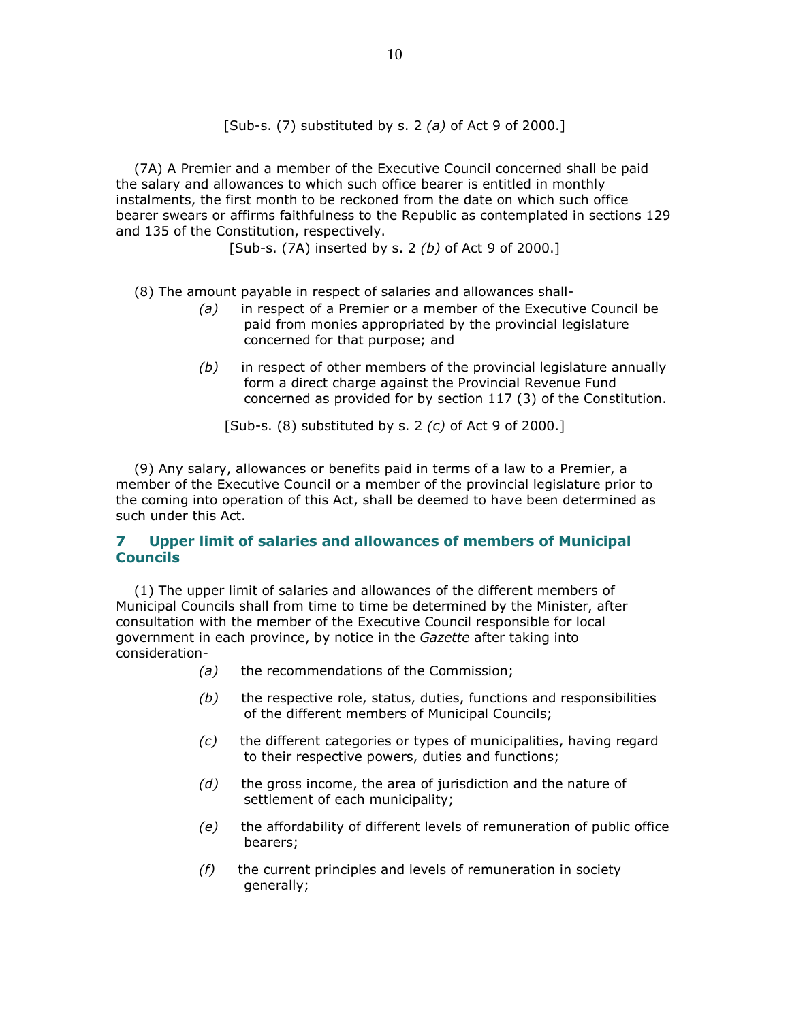[Sub-s. (7) substituted by s. 2 (a) of Act 9 of 2000.]

 (7A) A Premier and a member of the Executive Council concerned shall be paid the salary and allowances to which such office bearer is entitled in monthly instalments, the first month to be reckoned from the date on which such office bearer swears or affirms faithfulness to the Republic as contemplated in sections 129 and 135 of the Constitution, respectively.

[Sub-s. (7A) inserted by s. 2 (b) of Act 9 of 2000.]

(8) The amount payable in respect of salaries and allowances shall-

- $(a)$  in respect of a Premier or a member of the Executive Council be paid from monies appropriated by the provincial legislature concerned for that purpose; and
- $(b)$  in respect of other members of the provincial legislature annually form a direct charge against the Provincial Revenue Fund concerned as provided for by section 117 (3) of the Constitution.

[Sub-s.  $(8)$  substituted by s. 2  $(c)$  of Act 9 of 2000.]

 (9) Any salary, allowances or benefits paid in terms of a law to a Premier, a member of the Executive Council or a member of the provincial legislature prior to the coming into operation of this Act, shall be deemed to have been determined as such under this Act.

# 7 Upper limit of salaries and allowances of members of Municipal **Councils**

 (1) The upper limit of salaries and allowances of the different members of Municipal Councils shall from time to time be determined by the Minister, after consultation with the member of the Executive Council responsible for local government in each province, by notice in the Gazette after taking into consideration-

- (a) the recommendations of the Commission;
- $(b)$  the respective role, status, duties, functions and responsibilities of the different members of Municipal Councils;
- (c) the different categories or types of municipalities, having regard to their respective powers, duties and functions;
- $(d)$  the gross income, the area of jurisdiction and the nature of settlement of each municipality;
- (e) the affordability of different levels of remuneration of public office bearers;
- $(f)$  the current principles and levels of remuneration in society generally;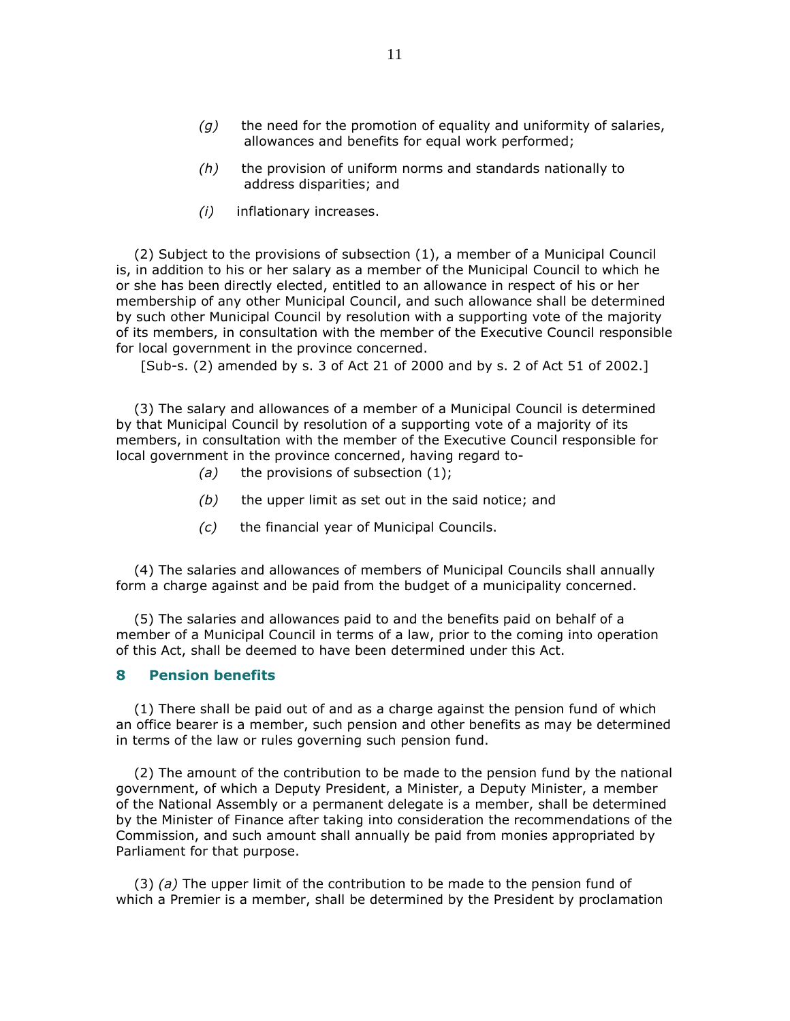- $(g)$  the need for the promotion of equality and uniformity of salaries, allowances and benefits for equal work performed;
- $(h)$  the provision of uniform norms and standards nationally to address disparities; and
- (i) inflationary increases.

 (2) Subject to the provisions of subsection (1), a member of a Municipal Council is, in addition to his or her salary as a member of the Municipal Council to which he or she has been directly elected, entitled to an allowance in respect of his or her membership of any other Municipal Council, and such allowance shall be determined by such other Municipal Council by resolution with a supporting vote of the majority of its members, in consultation with the member of the Executive Council responsible for local government in the province concerned.

[Sub-s. (2) amended by s. 3 of Act 21 of 2000 and by s. 2 of Act 51 of 2002.]

 (3) The salary and allowances of a member of a Municipal Council is determined by that Municipal Council by resolution of a supporting vote of a majority of its members, in consultation with the member of the Executive Council responsible for local government in the province concerned, having regard to-

- (a) the provisions of subsection  $(1)$ ;
- $(b)$  the upper limit as set out in the said notice; and
- (c) the financial year of Municipal Councils.

 (4) The salaries and allowances of members of Municipal Councils shall annually form a charge against and be paid from the budget of a municipality concerned.

 (5) The salaries and allowances paid to and the benefits paid on behalf of a member of a Municipal Council in terms of a law, prior to the coming into operation of this Act, shall be deemed to have been determined under this Act.

## 8 Pension benefits

 (1) There shall be paid out of and as a charge against the pension fund of which an office bearer is a member, such pension and other benefits as may be determined in terms of the law or rules governing such pension fund.

 (2) The amount of the contribution to be made to the pension fund by the national government, of which a Deputy President, a Minister, a Deputy Minister, a member of the National Assembly or a permanent delegate is a member, shall be determined by the Minister of Finance after taking into consideration the recommendations of the Commission, and such amount shall annually be paid from monies appropriated by Parliament for that purpose.

 $(3)$  (a) The upper limit of the contribution to be made to the pension fund of which a Premier is a member, shall be determined by the President by proclamation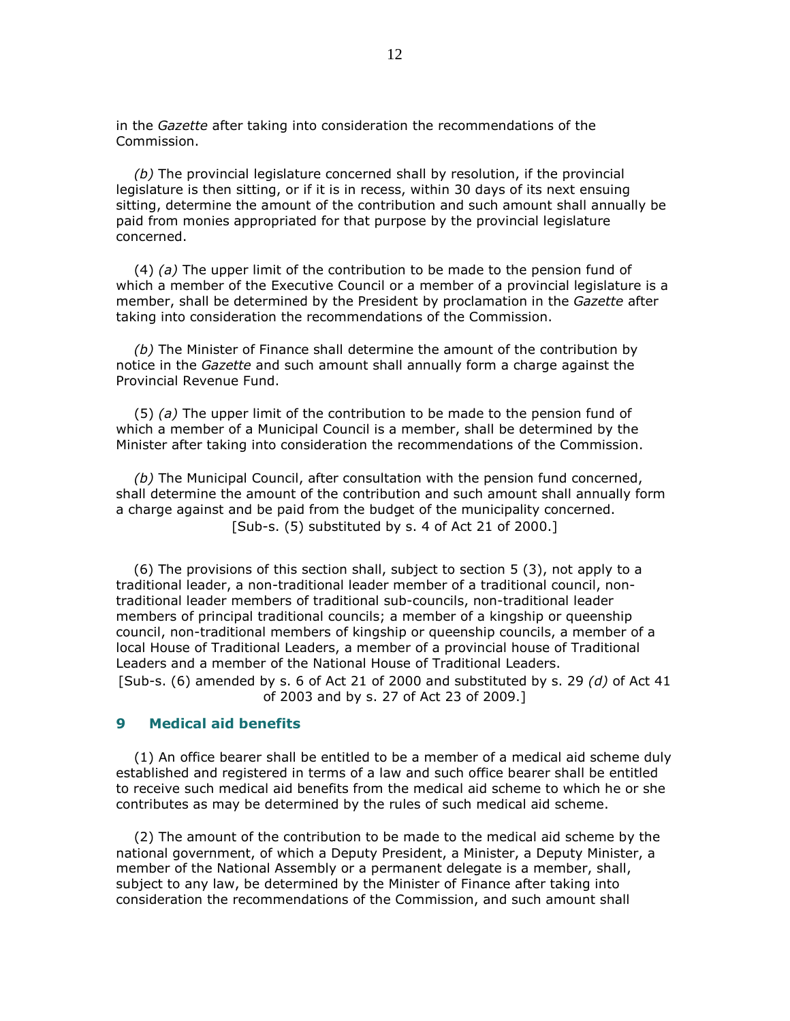in the Gazette after taking into consideration the recommendations of the Commission.

 (b) The provincial legislature concerned shall by resolution, if the provincial legislature is then sitting, or if it is in recess, within 30 days of its next ensuing sitting, determine the amount of the contribution and such amount shall annually be paid from monies appropriated for that purpose by the provincial legislature concerned.

 (4) (a) The upper limit of the contribution to be made to the pension fund of which a member of the Executive Council or a member of a provincial legislature is a member, shall be determined by the President by proclamation in the Gazette after taking into consideration the recommendations of the Commission.

 (b) The Minister of Finance shall determine the amount of the contribution by notice in the Gazette and such amount shall annually form a charge against the Provincial Revenue Fund.

 $(5)$  (a) The upper limit of the contribution to be made to the pension fund of which a member of a Municipal Council is a member, shall be determined by the Minister after taking into consideration the recommendations of the Commission.

 (b) The Municipal Council, after consultation with the pension fund concerned, shall determine the amount of the contribution and such amount shall annually form a charge against and be paid from the budget of the municipality concerned. [Sub-s. (5) substituted by s. 4 of Act 21 of 2000.]

 (6) The provisions of this section shall, subject to section 5 (3), not apply to a traditional leader, a non-traditional leader member of a traditional council, nontraditional leader members of traditional sub-councils, non-traditional leader members of principal traditional councils; a member of a kingship or queenship council, non-traditional members of kingship or queenship councils, a member of a local House of Traditional Leaders, a member of a provincial house of Traditional Leaders and a member of the National House of Traditional Leaders. [Sub-s. (6) amended by s. 6 of Act 21 of 2000 and substituted by s. 29  $(d)$  of Act 41 of 2003 and by s. 27 of Act 23 of 2009.]

# 9 Medical aid benefits

 (1) An office bearer shall be entitled to be a member of a medical aid scheme duly established and registered in terms of a law and such office bearer shall be entitled to receive such medical aid benefits from the medical aid scheme to which he or she contributes as may be determined by the rules of such medical aid scheme.

 (2) The amount of the contribution to be made to the medical aid scheme by the national government, of which a Deputy President, a Minister, a Deputy Minister, a member of the National Assembly or a permanent delegate is a member, shall, subject to any law, be determined by the Minister of Finance after taking into consideration the recommendations of the Commission, and such amount shall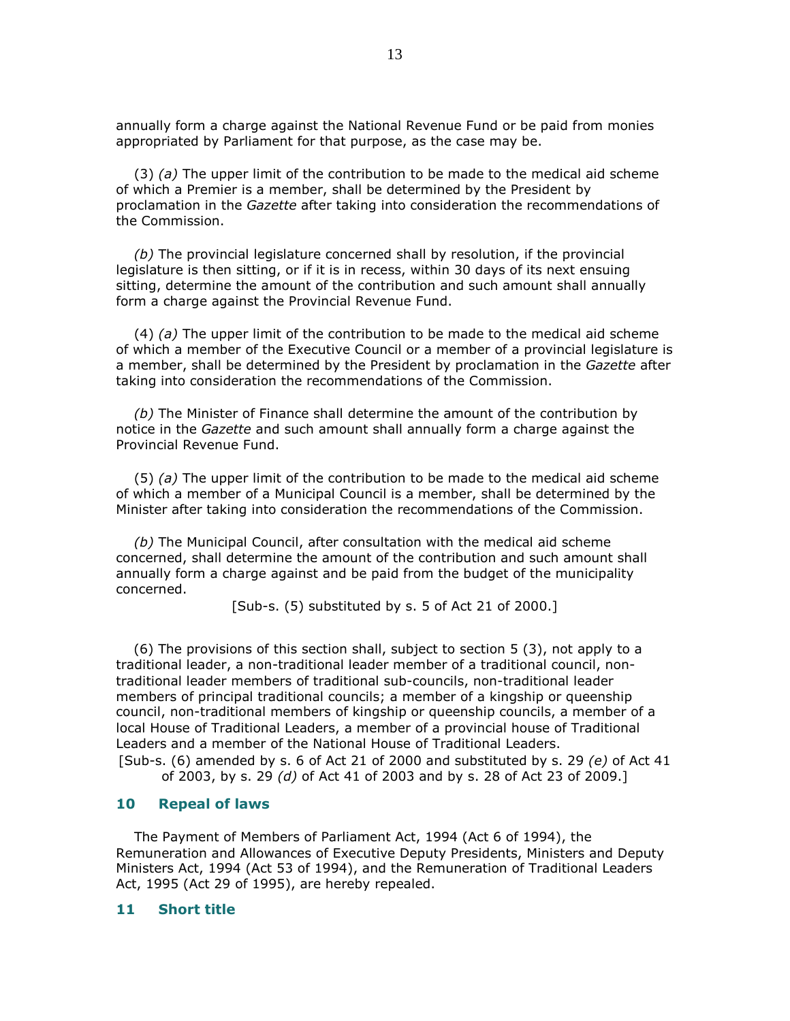annually form a charge against the National Revenue Fund or be paid from monies appropriated by Parliament for that purpose, as the case may be.

(3) (a) The upper limit of the contribution to be made to the medical aid scheme of which a Premier is a member, shall be determined by the President by proclamation in the Gazette after taking into consideration the recommendations of the Commission.

 (b) The provincial legislature concerned shall by resolution, if the provincial legislature is then sitting, or if it is in recess, within 30 days of its next ensuing sitting, determine the amount of the contribution and such amount shall annually form a charge against the Provincial Revenue Fund.

(4)  $(a)$  The upper limit of the contribution to be made to the medical aid scheme of which a member of the Executive Council or a member of a provincial legislature is a member, shall be determined by the President by proclamation in the Gazette after taking into consideration the recommendations of the Commission.

 (b) The Minister of Finance shall determine the amount of the contribution by notice in the Gazette and such amount shall annually form a charge against the Provincial Revenue Fund.

(5) (a) The upper limit of the contribution to be made to the medical aid scheme of which a member of a Municipal Council is a member, shall be determined by the Minister after taking into consideration the recommendations of the Commission.

 (b) The Municipal Council, after consultation with the medical aid scheme concerned, shall determine the amount of the contribution and such amount shall annually form a charge against and be paid from the budget of the municipality concerned.

[Sub-s. (5) substituted by s. 5 of Act 21 of 2000.]

 (6) The provisions of this section shall, subject to section 5 (3), not apply to a traditional leader, a non-traditional leader member of a traditional council, nontraditional leader members of traditional sub-councils, non-traditional leader members of principal traditional councils; a member of a kingship or queenship council, non-traditional members of kingship or queenship councils, a member of a local House of Traditional Leaders, a member of a provincial house of Traditional Leaders and a member of the National House of Traditional Leaders. [Sub-s. (6) amended by s. 6 of Act 21 of 2000 and substituted by s. 29  $(e)$  of Act 41

of 2003, by s. 29 (d) of Act 41 of 2003 and by s. 28 of Act 23 of 2009.]

#### 10 Repeal of laws

 The Payment of Members of Parliament Act, 1994 (Act 6 of 1994), the Remuneration and Allowances of Executive Deputy Presidents, Ministers and Deputy Ministers Act, 1994 (Act 53 of 1994), and the Remuneration of Traditional Leaders Act, 1995 (Act 29 of 1995), are hereby repealed.

#### 11 Short title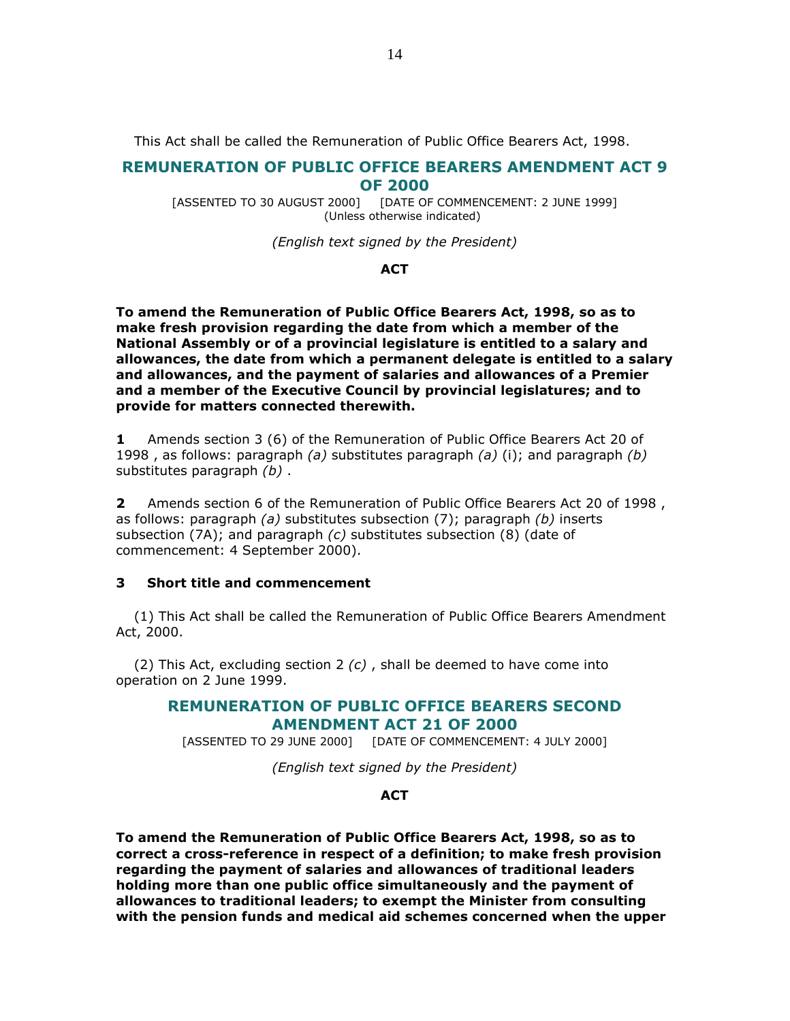This Act shall be called the Remuneration of Public Office Bearers Act, 1998.

# REMUNERATION OF PUBLIC OFFICE BEARERS AMENDMENT ACT 9 OF 2000

[ASSENTED TO 30 AUGUST 2000] [DATE OF COMMENCEMENT: 2 JUNE 1999] (Unless otherwise indicated)

(English text signed by the President)

### **ACT**

To amend the Remuneration of Public Office Bearers Act, 1998, so as to make fresh provision regarding the date from which a member of the National Assembly or of a provincial legislature is entitled to a salary and allowances, the date from which a permanent delegate is entitled to a salary and allowances, and the payment of salaries and allowances of a Premier and a member of the Executive Council by provincial legislatures; and to provide for matters connected therewith.

1 Amends section 3 (6) of the Remuneration of Public Office Bearers Act 20 of 1998, as follows: paragraph (a) substitutes paragraph (a) (i); and paragraph (b) substitutes paragraph *(b)*.

2 Amends section 6 of the Remuneration of Public Office Bearers Act 20 of 1998, as follows: paragraph (a) substitutes subsection  $(7)$ ; paragraph (b) inserts subsection (7A); and paragraph  $(c)$  substitutes subsection (8) (date of commencement: 4 September 2000).

### 3 Short title and commencement

 (1) This Act shall be called the Remuneration of Public Office Bearers Amendment Act, 2000.

(2) This Act, excluding section 2  $(c)$ , shall be deemed to have come into operation on 2 June 1999.

# REMUNERATION OF PUBLIC OFFICE BEARERS SECOND AMENDMENT ACT 21 OF 2000

[ASSENTED TO 29 JUNE 2000] [DATE OF COMMENCEMENT: 4 JULY 2000]

(English text signed by the President)

# **ACT**

To amend the Remuneration of Public Office Bearers Act, 1998, so as to correct a cross-reference in respect of a definition; to make fresh provision regarding the payment of salaries and allowances of traditional leaders holding more than one public office simultaneously and the payment of allowances to traditional leaders; to exempt the Minister from consulting with the pension funds and medical aid schemes concerned when the upper